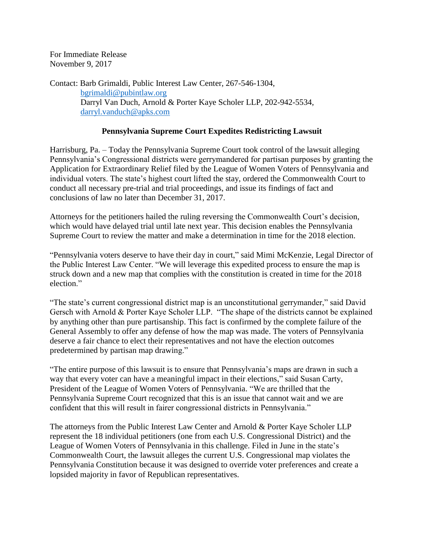For Immediate Release November 9, 2017

Contact: Barb Grimaldi, Public Interest Law Center, 267-546-1304, [bgrimaldi@pubintlaw.org](mailto:bgrimaldi@pubintlaw.org) Darryl Van Duch, Arnold & Porter Kaye Scholer LLP, 202-942-5534, [darryl.vanduch@apks.com](mailto:darryl.vanduch@apks.com)

## **Pennsylvania Supreme Court Expedites Redistricting Lawsuit**

Harrisburg, Pa. – Today the Pennsylvania Supreme Court took control of the lawsuit alleging Pennsylvania's Congressional districts were gerrymandered for partisan purposes by granting the Application for Extraordinary Relief filed by the League of Women Voters of Pennsylvania and individual voters. The state's highest court lifted the stay, ordered the Commonwealth Court to conduct all necessary pre-trial and trial proceedings, and issue its findings of fact and conclusions of law no later than December 31, 2017.

Attorneys for the petitioners hailed the ruling reversing the Commonwealth Court's decision, which would have delayed trial until late next year. This decision enables the Pennsylvania Supreme Court to review the matter and make a determination in time for the 2018 election.

"Pennsylvania voters deserve to have their day in court," said Mimi McKenzie, Legal Director of the Public Interest Law Center. "We will leverage this expedited process to ensure the map is struck down and a new map that complies with the constitution is created in time for the 2018 election."

"The state's current congressional district map is an unconstitutional gerrymander," said David Gersch with Arnold & Porter Kaye Scholer LLP. "The shape of the districts cannot be explained by anything other than pure partisanship. This fact is confirmed by the complete failure of the General Assembly to offer any defense of how the map was made. The voters of Pennsylvania deserve a fair chance to elect their representatives and not have the election outcomes predetermined by partisan map drawing."

"The entire purpose of this lawsuit is to ensure that Pennsylvania's maps are drawn in such a way that every voter can have a meaningful impact in their elections," said Susan Carty, President of the League of Women Voters of Pennsylvania. "We are thrilled that the Pennsylvania Supreme Court recognized that this is an issue that cannot wait and we are confident that this will result in fairer congressional districts in Pennsylvania."

The attorneys from the Public Interest Law Center and Arnold & Porter Kaye Scholer LLP represent the 18 individual petitioners (one from each U.S. Congressional District) and the League of Women Voters of Pennsylvania in this challenge. Filed in June in the state's Commonwealth Court, the lawsuit alleges the current U.S. Congressional map violates the Pennsylvania Constitution because it was designed to override voter preferences and create a lopsided majority in favor of Republican representatives.